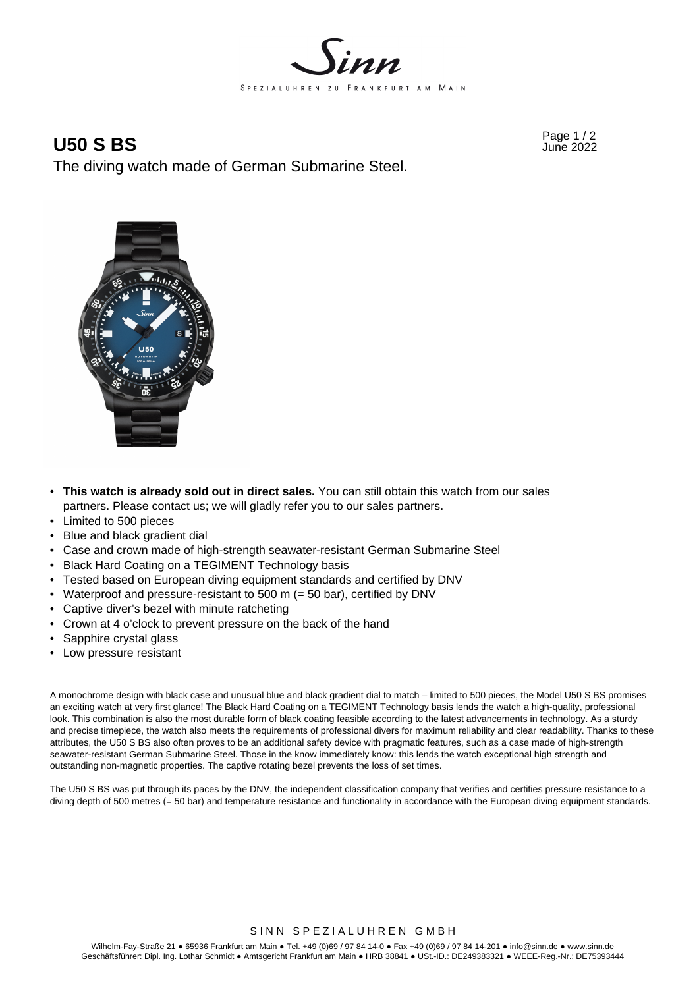

Page 1 / 2 **U50 S BS** June 2022

The diving watch made of German Submarine Steel.



- **This watch is already sold out in direct sales.** You can still obtain this watch from our sales partners. Please contact us; we will gladly refer you to our sales partners.
- Limited to 500 pieces
- Blue and black gradient dial
- Case and crown made of high-strength seawater-resistant German Submarine Steel
- Black Hard Coating on a TEGIMENT Technology basis
- Tested based on European diving equipment standards and certified by DNV
- Waterproof and pressure-resistant to 500 m (= 50 bar), certified by DNV
- Captive diver's bezel with minute ratcheting
- Crown at 4 o'clock to prevent pressure on the back of the hand
- Sapphire crystal glass
- Low pressure resistant

A monochrome design with black case and unusual blue and black gradient dial to match – limited to 500 pieces, the Model U50 S BS promises an exciting watch at very first glance! The Black Hard Coating on a TEGIMENT Technology basis lends the watch a high-quality, professional look. This combination is also the most durable form of black coating feasible according to the latest advancements in technology. As a sturdy and precise timepiece, the watch also meets the requirements of professional divers for maximum reliability and clear readability. Thanks to these attributes, the U50 S BS also often proves to be an additional safety device with pragmatic features, such as a case made of high-strength seawater-resistant German Submarine Steel. Those in the know immediately know: this lends the watch exceptional high strength and outstanding non-magnetic properties. The captive rotating bezel prevents the loss of set times.

The U50 S BS was put through its paces by the DNV, the independent classification company that verifies and certifies pressure resistance to a diving depth of 500 metres (= 50 bar) and temperature resistance and functionality in accordance with the European diving equipment standards.

#### SINN SPEZIALUHREN GMBH